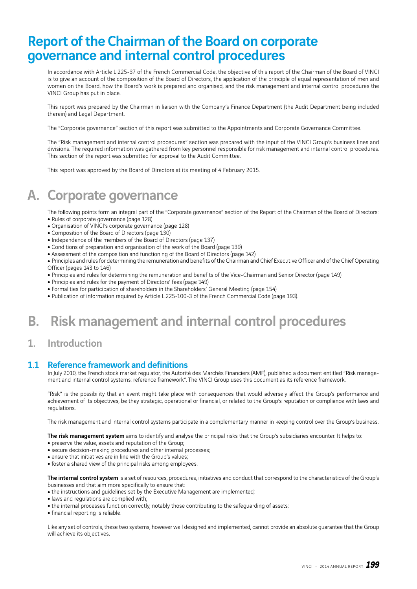# Report of the Chairman of the Board on corporate governance and internal control procedures

In accordance with Article L.225-37 of the French Commercial Code, the objective of this report of the Chairman of the Board of VINCI is to give an account of the composition of the Board of Directors, the application of the principle of equal representation of men and women on the Board, how the Board's work is prepared and organised, and the risk management and internal control procedures the VINCI Group has put in place.

This report was prepared by the Chairman in liaison with the Company's Finance Department (the Audit Department being included therein) and Legal Department.

The "Corporate governance" section of this report was submitted to the Appointments and Corporate Governance Committee.

The "Risk management and internal control procedures" section was prepared with the input of the VINCI Group's business lines and divisions. The required information was gathered from key personnel responsible for risk management and internal control procedures. This section of the report was submitted for approval to the Audit Committee.

This report was approved by the Board of Directors at its meeting of 4 February 2015.

## A. Corporate governance

The following points form an integral part of the "Corporate governance" section of the Report of the Chairman of the Board of Directors:

- Rules of corporate governance (page 128)
- <sup>ˇ</sup> Organisation of VINCI's corporate governance (page 128)
- Composition of the Board of Directors (page 130)
- Independence of the members of the Board of Directors (page 137)
- Conditions of preparation and organisation of the work of the Board (page 139)
- Assessment of the composition and functioning of the Board of Directors (page 142)

• Principles and rules for determining the remuneration and benefits of the Chairman and Chief Executive Officer and of the Chief Operating Officer (pages 143 to 146)

- Principles and rules for determining the remuneration and benefits of the Vice-Chairman and Senior Director (page 149)
- Principles and rules for the payment of Directors' fees (page 149)
- Formalities for participation of shareholders in the Shareholders' General Meeting (page 154)
- Publication of information required by Article L.225-100-3 of the French Commercial Code (page 193).

# B. Risk management and internal control procedures

## 1. Introduction

#### 1.1 Reference framework and definitions

In July 2010, the French stock market regulator, the Autorité des Marchés Financiers (AMF), published a document entitled "Risk management and internal control systems: reference framework". The VINCI Group uses this document as its reference framework.

"Risk" is the possibility that an event might take place with consequences that would adversely affect the Group's performance and achievement of its objectives, be they strategic, operational or financial, or related to the Group's reputation or compliance with laws and regulations.

The risk management and internal control systems participate in a complementary manner in keeping control over the Group's business.

The risk management system aims to identify and analyse the principal risks that the Group's subsidiaries encounter. It helps to:

- preserve the value, assets and reputation of the Group;
- secure decision-making procedures and other internal processes;
- ensure that initiatives are in line with the Group's values;
- foster a shared view of the principal risks among employees.

The internal control system is a set of resources, procedures, initiatives and conduct that correspond to the characteristics of the Group's businesses and that aim more specifically to ensure that:

- the instructions and guidelines set by the Executive Management are implemented;
- laws and regulations are complied with;
- the internal processes function correctly, notably those contributing to the safeguarding of assets;
- financial reporting is reliable.

Like any set of controls, these two systems, however well designed and implemented, cannot provide an absolute guarantee that the Group will achieve its objectives.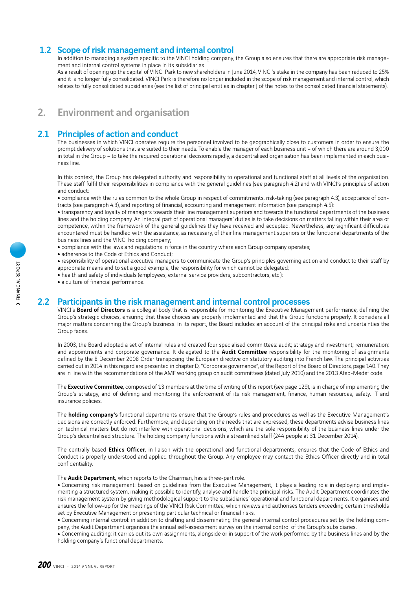## 1.2 Scope of risk management and internal control

In addition to managing a system specific to the VINCI holding company, the Group also ensures that there are appropriate risk management and internal control systems in place in its subsidiaries.

As a result of opening up the capital of VINCI Park to new shareholders in June 2014, VINCI's stake in the company has been reduced to 25% and it is no longer fully consolidated. VINCI Park is therefore no longer included in the scope of risk management and internal control, which relates to fully consolidated subsidiaries (see the list of principal entities in chapter J of the notes to the consolidated financial statements).

## 2. Environment and organisation

## 2.1 Principles of action and conduct

The businesses in which VINCI operates require the personnel involved to be geographically close to customers in order to ensure the prompt delivery of solutions that are suited to their needs. To enable the manager of each business unit – of which there are around 3,000 in total in the Group – to take the required operational decisions rapidly, a decentralised organisation has been implemented in each business line.

In this context, the Group has delegated authority and responsibility to operational and functional staff at all levels of the organisation. These staff fulfil their responsibilities in compliance with the general guidelines (see paragraph 4.2) and with VINCI's principles of action and conduct:

• compliance with the rules common to the whole Group in respect of commitments, risk-taking (see paragraph 4.3), acceptance of contracts (see paragraph 4.3), and reporting of financial, accounting and management information (see paragraph 4.5);

• transparency and loyalty of managers towards their line management superiors and towards the functional departments of the business lines and the holding company. An integral part of operational managers' duties is to take decisions on matters falling within their area of competence, within the framework of the general guidelines they have received and accepted. Nevertheless, any significant difficulties encountered must be handled with the assistance, as necessary, of their line management superiors or the functional departments of the business lines and the VINCI holding company;

- compliance with the laws and regulations in force in the country where each Group company operates;
- adherence to the Code of Ethics and Conduct;
- <sup>ˇ</sup> responsibility of operational executive managers to communicate the Group's principles governing action and conduct to their staff by appropriate means and to set a good example, the responsibility for which cannot be delegated;
- health and safety of individuals (employees, external service providers, subcontractors, etc.);
- a culture of financial performance.

## 2.2 Participants in the risk management and internal control processes

VINCI's Board of Directors is a collegial body that is responsible for monitoring the Executive Management performance, defining the Group's strategic choices, ensuring that these choices are properly implemented and that the Group functions properly. It considers all major matters concerning the Group's business. In its report, the Board includes an account of the principal risks and uncertainties the Group faces.

In 2003, the Board adopted a set of internal rules and created four specialised committees: audit; strategy and investment; remuneration; and appointments and corporate governance. It delegated to the **Audit Committee** responsibility for the monitoring of assignments defined by the 8 December 2008 Order transposing the European directive on statutory auditing into French law. The principal activities carried out in 2014 in this regard are presented in chapter D, "Corporate governance", of the Report of the Board of Directors, page 140. They are in line with the recommendations of the AMF working group on audit committees (dated July 2010) and the 2013 Afep-Medef code.

The Executive Committee, composed of 13 members at the time of writing of this report (see page 129), is in charge of implementing the Group's strategy, and of defining and monitoring the enforcement of its risk management, finance, human resources, safety, IT and insurance policies.

The **holding company's** functional departments ensure that the Group's rules and procedures as well as the Executive Management's decisions are correctly enforced. Furthermore, and depending on the needs that are expressed, these departments advise business lines on technical matters but do not interfere with operational decisions, which are the sole responsibility of the business lines under the Group's decentralised structure. The holding company functions with a streamlined staff (244 people at 31 December 2014).

The centrally based **Ethics Officer**, in liaison with the operational and functional departments, ensures that the Code of Ethics and Conduct is properly understood and applied throughout the Group. Any employee may contact the Ethics Officer directly and in total confidentiality.

The **Audit Department,** which reports to the Chairman, has a three-part role.

• Concerning risk management: based on guidelines from the Executive Management, it plays a leading role in deploying and implementing a structured system, making it possible to identify, analyse and handle the principal risks. The Audit Department coordinates the risk management system by giving methodological support to the subsidiaries' operational and functional departments. It organises and ensures the follow-up for the meetings of the VINCI Risk Committee, which reviews and authorises tenders exceeding certain thresholds set by Executive Management or presenting particular technical or financial risks.

• Concerning internal control: in addition to drafting and disseminating the general internal control procedures set by the holding company, the Audit Department organises the annual self-assessment survey on the internal control of the Group's subsidiaries.

• Concerning auditing: it carries out its own assignments, alongside or in support of the work performed by the business lines and by the holding company's functional departments.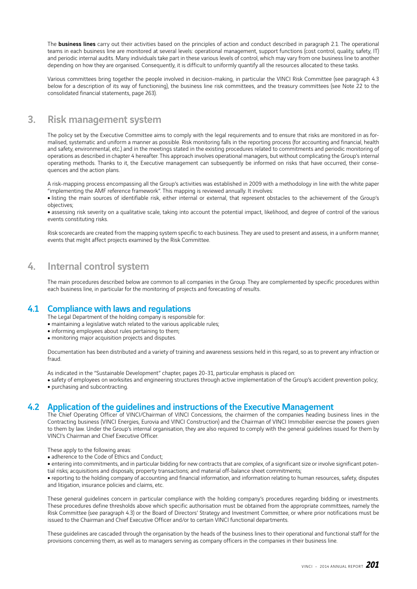The **business lines** carry out their activities based on the principles of action and conduct described in paragraph 2.1. The operational teams in each business line are monitored at several levels: operational management, support functions (cost control, quality, safety, IT) and periodic internal audits. Many individuals take part in these various levels of control, which may vary from one business line to another depending on how they are organised. Consequently, it is difficult to uniformly quantify all the resources allocated to these tasks.

Various committees bring together the people involved in decision-making, in particular the VINCI Risk Committee (see paragraph 4.3 below for a description of its way of functioning), the business line risk committees, and the treasury committees (see Note 22 to the consolidated financial statements, page 263).

## 3. Risk management system

The policy set by the Executive Committee aims to comply with the legal requirements and to ensure that risks are monitored in as formalised, systematic and uniform a manner as possible. Risk monitoring falls in the reporting process (for accounting and financial, health and safety, environmental, etc.) and in the meetings stated in the existing procedures related to commitments and periodic monitoring of operations as described in chapter 4 hereafter. This approach involves operational managers, but without complicating the Group's internal operating methods. Thanks to it, the Executive management can subsequently be informed on risks that have occurred, their consequences and the action plans.

A risk-mapping process encompassing all the Group's activities was established in 2009 with a methodology in line with the white paper "implementing the AMF reference framework". This mapping is reviewed annually. It involves:

• listing the main sources of identifiable risk, either internal or external, that represent obstacles to the achievement of the Group's objectives;

• assessing risk severity on a qualitative scale, taking into account the potential impact, likelihood, and degree of control of the various events constituting risks.

Risk scorecards are created from the mapping system specific to each business. They are used to present and assess, in a uniform manner, events that might affect projects examined by the Risk Committee.

## 4. Internal control system

The main procedures described below are common to all companies in the Group. They are complemented by specific procedures within each business line, in particular for the monitoring of projects and forecasting of results.

## 4.1 Compliance with laws and regulations

- The Legal Department of the holding company is responsible for:
- maintaining a legislative watch related to the various applicable rules;
- informing employees about rules pertaining to them;
- monitoring major acquisition projects and disputes.

Documentation has been distributed and a variety of training and awareness sessions held in this regard, so as to prevent any infraction or fraud.

As indicated in the "Sustainable Development" chapter, pages 20-31, particular emphasis is placed on:

• safety of employees on worksites and engineering structures through active implementation of the Group's accident prevention policy;

• purchasing and subcontracting.

#### 4.2 Application of the guidelines and instructions of the Executive Management

The Chief Operating Officer of VINCI/Chairman of VINCI Concessions, the chairmen of the companies heading business lines in the Contracting business (VINCI Energies, Eurovia and VINCI Construction) and the Chairman of VINCI Immobilier exercise the powers given to them by law. Under the Group's internal organisation, they are also required to comply with the general guidelines issued for them by VINCI's Chairman and Chief Executive Officer.

These apply to the following areas:

- adherence to the Code of Ethics and Conduct;
- entering into commitments, and in particular bidding for new contracts that are complex, of a significant size or involve significant potential risks; acquisitions and disposals; property transactions; and material off-balance sheet commitments;

• reporting to the holding company of accounting and financial information, and information relating to human resources, safety, disputes and litigation, insurance policies and claims, etc.

These general guidelines concern in particular compliance with the holding company's procedures regarding bidding or investments. These procedures define thresholds above which specific authorisation must be obtained from the appropriate committees, namely the Risk Committee (see paragraph 4.3) or the Board of Directors' Strategy and Investment Committee, or where prior notifications must be issued to the Chairman and Chief Executive Officer and/or to certain VINCI functional departments.

These guidelines are cascaded through the organisation by the heads of the business lines to their operational and functional staff for the provisions concerning them, as well as to managers serving as company officers in the companies in their business line.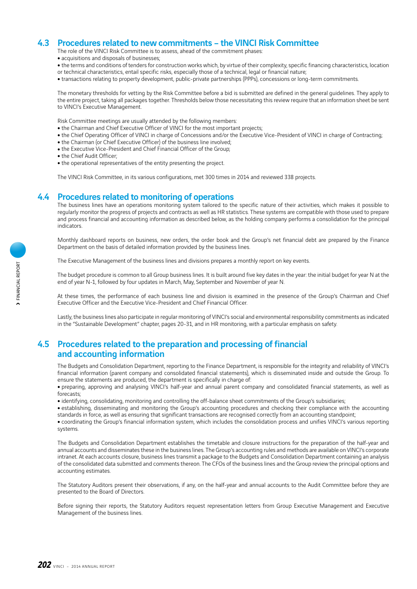## 4.3 Procedures related to new commitments – the VINCI Risk Committee

The role of the VINCI Risk Committee is to assess, ahead of the commitment phases:

- acquisitions and disposals of businesses;
- the terms and conditions of tenders for construction works which, by virtue of their complexity, specific financing characteristics, location or technical characteristics, entail specific risks, especially those of a technical, legal or financial nature;
- transactions relating to property development, public-private partnerships (PPPs), concessions or long-term commitments.

The monetary thresholds for vetting by the Risk Committee before a bid is submitted are defined in the general guidelines. They apply to the entire project, taking all packages together. Thresholds below those necessitating this review require that an information sheet be sent to VINCI's Executive Management.

Risk Committee meetings are usually attended by the following members:

- $\bullet$  the Chairman and Chief Executive Officer of VINCI for the most important projects;
- the Chief Operating Officer of VINCI in charge of Concessions and/or the Executive Vice-President of VINCI in charge of Contracting;
- the Chairman (or Chief Executive Officer) of the business line involved;
- the Executive Vice-President and Chief Financial Officer of the Group;
- the Chief Audit Officer:
- the operational representatives of the entity presenting the project.

The VINCI Risk Committee, in its various configurations, met 300 times in 2014 and reviewed 338 projects.

#### 4.4 Procedures related to monitoring of operations

The business lines have an operations monitoring system tailored to the specific nature of their activities, which makes it possible to regularly monitor the progress of projects and contracts as well as HR statistics. These systems are compatible with those used to prepare and process financial and accounting information as described below, as the holding company performs a consolidation for the principal indicators.

Monthly dashboard reports on business, new orders, the order book and the Group's net financial debt are prepared by the Finance Department on the basis of detailed information provided by the business lines.

The Executive Management of the business lines and divisions prepares a monthly report on key events.

The budget procedure is common to all Group business lines. It is built around five key dates in the year: the initial budget for year N at the end of year N-1, followed by four updates in March, May, September and November of year N.

At these times, the performance of each business line and division is examined in the presence of the Group's Chairman and Chief Executive Officer and the Executive Vice-President and Chief Financial Officer.

Lastly, the business lines also participate in regular monitoring of VINCI's social and environmental responsibility commitments as indicated in the "Sustainable Development" chapter, pages 20-31, and in HR monitoring, with a particular emphasis on safety.

## 4.5 Procedures related to the preparation and processing of financial and accounting information

The Budgets and Consolidation Department, reporting to the Finance Department, is responsible for the integrity and reliability of VINCI's financial information (parent company and consolidated financial statements), which is disseminated inside and outside the Group. To ensure the statements are produced, the department is specifically in charge of:

<sup>ˇ</sup> preparing, approving and analysing VINCI's half-year and annual parent company and consolidated financial statements, as well as forecasts;

• identifying, consolidating, monitoring and controlling the off-balance sheet commitments of the Group's subsidiaries;

• establishing, disseminating and monitoring the Group's accounting procedures and checking their compliance with the accounting standards in force, as well as ensuring that significant transactions are recognised correctly from an accounting standpoint;

<sup>ˇ</sup> coordinating the Group's financial information system, which includes the consolidation process and unifies VINCI's various reporting systems.

The Budgets and Consolidation Department establishes the timetable and closure instructions for the preparation of the half-year and annual accounts and disseminates these in the business lines. The Group's accounting rules and methods are available on VINCI's corporate intranet. At each accounts closure, business lines transmit a package to the Budgets and Consolidation Department containing an analysis of the consolidated data submitted and comments thereon. The CFOs of the business lines and the Group review the principal options and accounting estimates.

The Statutory Auditors present their observations, if any, on the half-year and annual accounts to the Audit Committee before they are presented to the Board of Directors.

Before signing their reports, the Statutory Auditors request representation letters from Group Executive Management and Executive Management of the business lines.